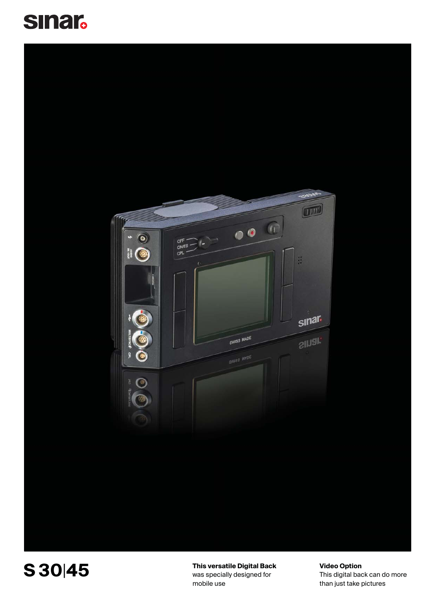





**This versatile Digital Back** was specially designed for mobile use

**Video Option** This digital back can do more than just take pictures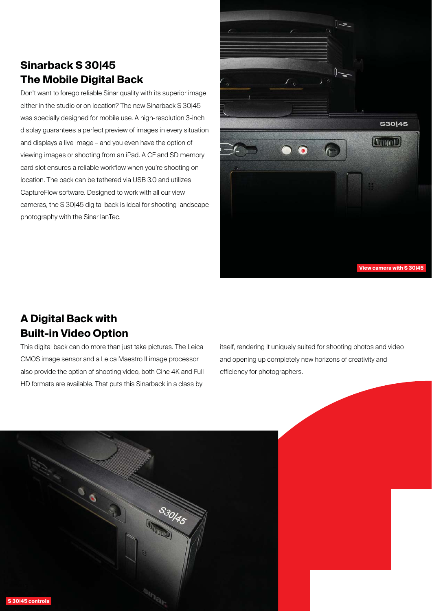# **Sinarback S 30|45 The Mobile Digital Back**

Don't want to forego reliable Sinar quality with its superior image either in the studio or on location? The new Sinarback S 30|45 was specially designed for mobile use. A high-resolution 3-inch display guarantees a perfect preview of images in every situation and displays a live image – and you even have the option of viewing images or shooting from an iPad. A CF and SD memory card slot ensures a reliable workflow when you're shooting on location. The back can be tethered via USB 3.0 and utilizes CaptureFlow software. Designed to work with all our view cameras, the S 30|45 digital back is ideal for shooting landscape photography with the Sinar lanTec.



# **A Digital Back with Built-in Video Option**

This digital back can do more than just take pictures. The Leica CMOS image sensor and a Leica Maestro II image processor also provide the option of shooting video, both Cine 4K and Full HD formats are available. That puts this Sinarback in a class by

itself, rendering it uniquely suited for shooting photos and video and opening up completely new horizons of creativity and efficiency for photographers.

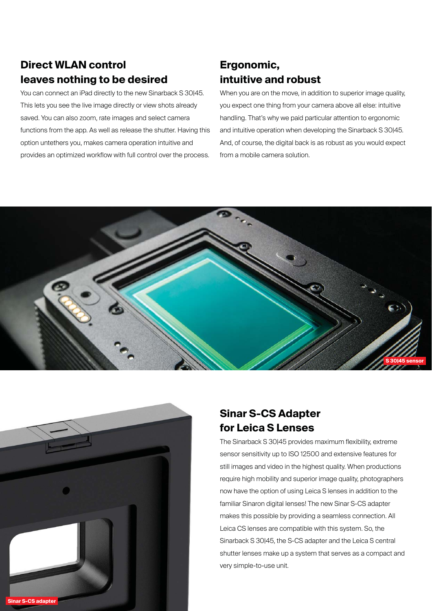# **Direct WLAN control leaves nothing to be desired**

You can connect an iPad directly to the new Sinarback S 30|45. This lets you see the live image directly or view shots already saved. You can also zoom, rate images and select camera functions from the app. As well as release the shutter. Having this option untethers you, makes camera operation intuitive and provides an optimized workflow with full control over the process.

# **Ergonomic, intuitive and robust**

When you are on the move, in addition to superior image quality, you expect one thing from your camera above all else: intuitive handling. That's why we paid particular attention to ergonomic and intuitive operation when developing the Sinarback S 30|45. And, of course, the digital back is as robust as you would expect from a mobile camera solution.





# **Sinar S-CS Adapter for Leica S Lenses**

The Sinarback S 30|45 provides maximum flexibility, extreme sensor sensitivity up to ISO 12500 and extensive features for still images and video in the highest quality. When productions require high mobility and superior image quality, photographers now have the option of using Leica S lenses in addition to the familiar Sinaron digital lenses! The new Sinar S-CS adapter makes this possible by providing a seamless connection. All Leica CS lenses are compatible with this system. So, the Sinarback S 30|45, the S-CS adapter and the Leica S central shutter lenses make up a system that serves as a compact and very simple-to-use unit.